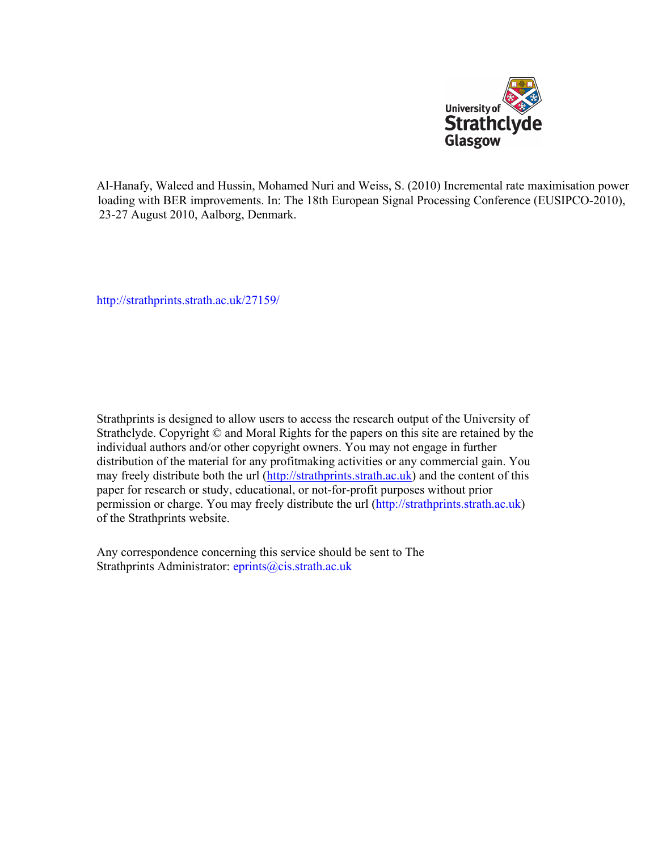

Al-Hanafy, Waleed and Hussin, Mohamed Nuri and Weiss, S. (2010) Incremental rate maximisation power loading with BER improvements. In: The 18th European Signal Processing Conference (EUSIPCO-2010), 23-27 August 2010, Aalborg, Denmark.

[http://strathprints.strath.ac.uk/](http://strathprints.strath.ac.uk/27159/)27159/

Strathprints is designed to allow users to access the research output of the University of Strathclyde. Copyright © and Moral Rights for the papers on this site are retained by the individual authors and/or other copyright owners. You may not engage in further distribution of the material for any profitmaking activities or any commercial gain. You may freely distribute both the url [\(http://strathprints.strath.ac.uk](https://nemo.strath.ac.uk/exchweb/bin/redir.asp?URL=http://eprints.cdlr.strath.ac.uk)) and the content of this paper for research or study, educational, or not-for-profit purposes without prior permission or charge. You may freely distribute the url (http://strathprints.strath.ac.uk) of the Strathprints website.

Any correspondence concerning this service should be sent to The Strathprints Administrator: eprints@cis.strath.ac.uk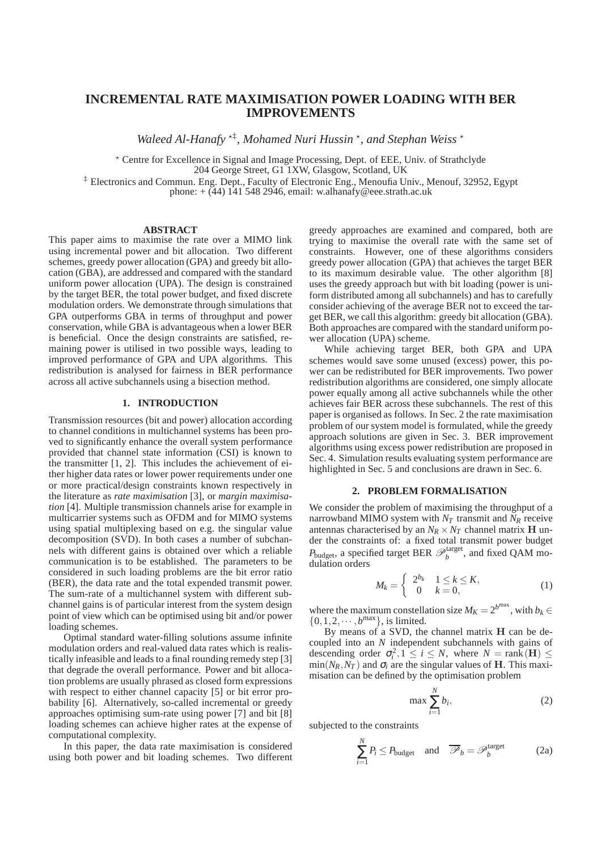# **INCREMENTAL RATE MAXIMISATION POWER LOADING WITH BER IMPROVEMENTS**

Waleed Al-Hanafy<sup>\*†</sup>, Mohamed Nuri Hussin<sup>\*</sup>, and Stephan Weiss<sup>\*</sup>

? Centre for Excellence in Signal and Image Processing, Dept. of EEE, Univ. of Strathclyde

204 George Street, G1 1XW, Glasgow, Scotland, UK

‡ Electronics and Commun. Eng. Dept., Faculty of Electronic Eng., Menoufia Univ., Menouf, 32952, Egypt

phone:  $+$  (44) 141 548 2946, email: w.alhanafy@eee.strath.ac.uk

# **ABSTRACT**

This paper aims to maximise the rate over a MIMO link using incremental power and bit allocation. Two different schemes, greedy power allocation (GPA) and greedy bit allocation (GBA), are addressed and compared with the standard uniform power allocation (UPA). The design is constrained by the target BER, the total power budget, and fixed discrete modulation orders. We demonstrate through simulations that GPA outperforms GBA in terms of throughput and power conservation, while GBA is advantageous when a lower BER is beneficial. Once the design constraints are satisfied, remaining power is utilised in two possible ways, leading to improved performance of GPA and UPA algorithms. This redistribution is analysed for fairness in BER performance across all active subchannels using a bisection method.

# **1. INTRODUCTION**

Transmission resources (bit and power) allocation according to channel conditions in multichannel systems has been proved to significantly enhance the overall system performance provided that channel state information (CSI) is known to the transmitter [1, 2]. This includes the achievement of either higher data rates or lower power requirements under one or more practical/design constraints known respectively in the literature as *rate maximisation* [3], or *margin maximisation* [4]. Multiple transmission channels arise for example in multicarrier systems such as OFDM and for MIMO systems using spatial multiplexing based on e.g. the singular value decomposition (SVD). In both cases a number of subchannels with different gains is obtained over which a reliable communication is to be established. The parameters to be considered in such loading problems are the bit error ratio (BER), the data rate and the total expended transmit power. The sum-rate of a multichannel system with different subchannel gains is of particular interest from the system design point of view which can be optimised using bit and/or power loading schemes.

Optimal standard water-filling solutions assume infinite modulation orders and real-valued data rates which is realistically infeasible and leads to a final rounding remedy step [3] that degrade the overall performance. Power and bit allocation problems are usually phrased as closed form expressions with respect to either channel capacity [5] or bit error probability [6]. Alternatively, so-called incremental or greedy approaches optimising sum-rate using power [7] and bit [8] loading schemes can achieve higher rates at the expense of computational complexity.

In this paper, the data rate maximisation is considered using both power and bit loading schemes. Two different greedy approaches are examined and compared, both are trying to maximise the overall rate with the same set of constraints. However, one of these algorithms considers greedy power allocation (GPA) that achieves the target BER to its maximum desirable value. The other algorithm [8] uses the greedy approach but with bit loading (power is uniform distributed among all subchannels) and has to carefully consider achieving of the average BER not to exceed the target BER, we call this algorithm: greedy bit allocation (GBA). Both approaches are compared with the standard uniform power allocation (UPA) scheme.

While achieving target BER, both GPA and UPA schemes would save some unused (excess) power, this power can be redistributed for BER improvements. Two power redistribution algorithms are considered, one simply allocate power equally among all active subchannels while the other achieves fair BER across these subchannels. The rest of this paper is organised as follows. In Sec. 2 the rate maximisation problem of our system model is formulated, while the greedy approach solutions are given in Sec. 3. BER improvement algorithms using excess power redistribution are proposed in Sec. 4. Simulation results evaluating system performance are highlighted in Sec. 5 and conclusions are drawn in Sec. 6.

## **2. PROBLEM FORMALISATION**

We consider the problem of maximising the throughput of a narrowband MIMO system with  $N_T$  transmit and  $N_R$  receive antennas characterised by an  $N_R \times N_T$  channel matrix **H** under the constraints of: a fixed total transmit power budget  $P_{\text{budget}}$ , a specified target BER  $\mathscr{P}_b^{\text{target}}$ , and fixed QAM modulation orders

$$
M_k = \left\{ \begin{array}{ll} 2^{b_k} & 1 \le k \le K, \\ 0 & k = 0, \end{array} \right. \tag{1}
$$

where the maximum constellation size  $M_K = 2^{b^{max}}$ , with  $b_k \in$  $\{0, 1, 2, \cdots, b^{\text{max}}\}\$ , is limited.

By means of a SVD, the channel matrix H can be decoupled into an *N* independent subchannels with gains of descending order  $\sigma_i^2$ ,  $1 \le i \le N$ , where  $N = \text{rank}(\mathbf{H}) \le$  $\min(N_R, N_T)$  and  $\sigma_i$  are the singular values of **H**. This maximisation can be defined by the optimisation problem

$$
\max \sum_{i=1}^{N} b_i,
$$
 (2)

subjected to the constraints

$$
\sum_{i=1}^{N} P_i \le P_{\text{budget}} \quad \text{and} \quad \overline{\mathcal{P}}_b = \mathcal{P}_b^{\text{target}} \tag{2a}
$$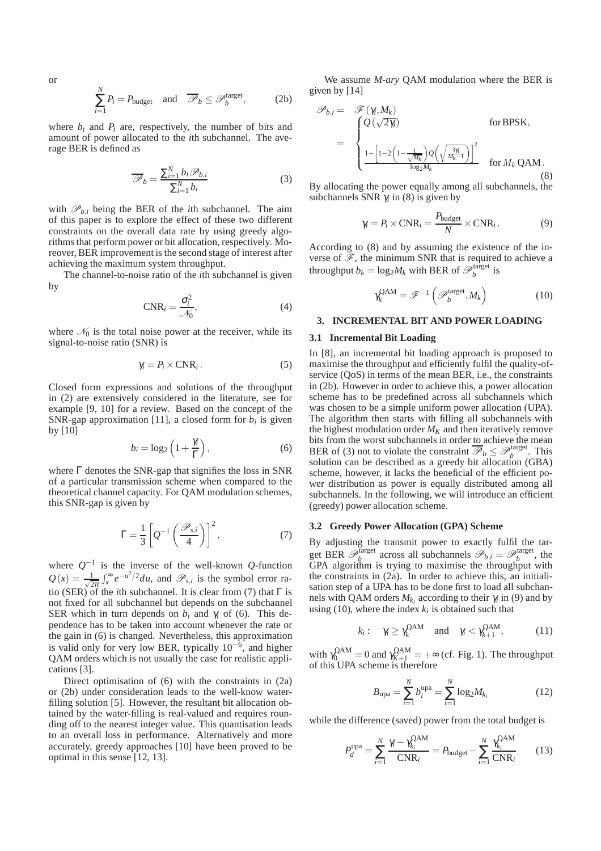or

$$
\sum_{i=1}^{N} P_i = P_{\text{budget}} \quad \text{and} \quad \overline{\mathcal{P}}_b \leq \mathcal{P}_b^{\text{target}}, \tag{2b}
$$

where  $b_i$  and  $P_i$  are, respectively, the number of bits and amount of power allocated to the *i*th subchannel. The average BER is defined as

$$
\overline{\mathscr{P}}_b = \frac{\sum_{i=1}^{N} b_i \mathscr{P}_{b,i}}{\sum_{i=1}^{N} b_i}
$$
 (3)

with  $\mathcal{P}_{b,i}$  being the BER of the *i*th subchannel. The aim of this paper is to explore the effect of these two different constraints on the overall data rate by using greedy algorithms that perform power or bit allocation, respectively. Moreover, BER improvement is the second stage of interest after achieving the maximum system throughput.

The channel-to-noise ratio of the *i*th subchannel is given by

$$
CNR_i = \frac{\sigma_i^2}{\mathcal{N}_0},\tag{4}
$$

where  $\mathcal{N}_0$  is the total noise power at the receiver, while its signal-to-noise ratio (SNR) is

$$
\gamma_i = P_i \times \text{CNR}_i. \tag{5}
$$

Closed form expressions and solutions of the throughput in (2) are extensively considered in the literature, see for example [9, 10] for a review. Based on the concept of the SNR-gap approximation [11], a closed form for  $b_i$  is given by [10]

$$
b_i = \log_2\left(1 + \frac{\gamma_i}{\Gamma}\right),\tag{6}
$$

where Γ denotes the SNR-gap that signifies the loss in SNR of a particular transmission scheme when compared to the theoretical channel capacity. For QAM modulation schemes, this SNR-gap is given by

$$
\Gamma = \frac{1}{3} \left[ Q^{-1} \left( \frac{\mathcal{P}_{s,i}}{4} \right) \right]^2, \tag{7}
$$

where  $Q^{-1}$  is the inverse of the well-known  $Q$ -function  $Q(x) = \frac{1}{\sqrt{2}}$  $\frac{1}{2\pi} \int_{x}^{\infty} e^{-u^2/2} du$ , and  $\mathcal{P}_{s,i}$  is the symbol error ratio (SER) of the *i*th subchannel. It is clear from (7) that  $\Gamma$  is not fixed for all subchannel but depends on the subchannel SER which in turn depends on  $b_i$  and  $\gamma_i$  of (6). This dependence has to be taken into account whenever the rate or the gain in (6) is changed. Nevertheless, this approximation is valid only for very low BER, typically  $10^{-6}$ , and higher QAM orders which is not usually the case for realistic applications [3].

Direct optimisation of (6) with the constraints in (2a) or (2b) under consideration leads to the well-know waterfilling solution [5]. However, the resultant bit allocation obtained by the water-filling is real-valued and requires rounding off to the nearest integer value. This quantisation leads to an overall loss in performance. Alternatively and more accurately, greedy approaches [10] have been proved to be optimal in this sense [12, 13].

We assume *M-ary* QAM modulation where the BER is given by [14]

$$
\mathscr{P}_{b,i} = \mathscr{F}(\gamma_i, M_k)
$$
  
= 
$$
\begin{cases} Q(\sqrt{2\gamma_i}) & \text{for BPSK,} \\ \frac{1 - \left[1 - 2\left(1 - \frac{1}{\sqrt{M_k}}\right)Q\left(\sqrt{\frac{3\gamma_i}{M_k - 1}}\right)\right]^2}{\log_2 M_k} & \text{for } M_k \text{ QAM.} \end{cases}
$$
(8)

By allocating the power equally among all subchannels, the subchannels SNR  $\gamma$ <sub>i</sub> in (8) is given by

$$
\gamma_i = P_i \times \text{CNR}_i = \frac{P_{\text{budget}}}{N} \times \text{CNR}_i. \tag{9}
$$

According to (8) and by assuming the existence of the inverse of  $\mathscr{F}$ , the minimum SNR that is required to achieve a throughput  $b_k = \log_2 M_k$  with BER of  $\mathcal{P}_b^{\text{target}}$  is

$$
\gamma_k^{\text{QAM}} = \mathscr{F}^{-1}\left(\mathscr{P}_b^{\text{target}}, M_k\right) \tag{10}
$$

#### **3. INCREMENTAL BIT AND POWER LOADING**

#### **3.1 Incremental Bit Loading**

In [8], an incremental bit loading approach is proposed to maximise the throughput and efficiently fulfil the quality-ofservice (QoS) in terms of the mean BER, i.e., the constraints in (2b). However in order to achieve this, a power allocation scheme has to be predefined across all subchannels which was chosen to be a simple uniform power allocation (UPA). The algorithm then starts with filling all subchannels with the highest modulation order  $M_K$  and then iteratively remove bits from the worst subchannels in order to achieve the mean BER of (3) not to violate the constraint  $\overline{\mathcal{P}}_b \leq \mathcal{P}_b^{\text{target}}$ . This solution can be described as a greedy bit allocation (GBA) scheme, however, it lacks the beneficial of the efficient power distribution as power is equally distributed among all subchannels. In the following, we will introduce an efficient (greedy) power allocation scheme.

#### **3.2 Greedy Power Allocation (GPA) Scheme**

By adjusting the transmit power to exactly fulfil the target BER  $\mathscr{P}_b^{\text{target}}$  across all subchannels  $\mathscr{P}_{b,i} = \mathscr{P}_b^{\text{target}}$ , the GPA algorithm is trying to maximise the throughput with the constraints in (2a). In order to achieve this, an initialisation step of a UPA has to be done first to load all subchannels with QAM orders  $M_{k_i}$  according to their  $\gamma_i$  in (9) and by using (10), where the index  $k_i$  is obtained such that

$$
k_i: \quad \gamma_i \ge \gamma_k^{\text{QAM}} \quad \text{and} \quad \gamma_i < \gamma_{k+1}^{\text{QAM}}, \tag{11}
$$

with  $\gamma_0^{\text{QAM}} = 0$  and  $\gamma_{K+1}^{\text{QAM}} = +\infty$  (cf. Fig. 1). The throughput of this UPA scheme is therefore

$$
B_{\text{upa}} = \sum_{i=1}^{N} b_i^{\text{upa}} = \sum_{i=1}^{N} \log_2 M_{k_i}
$$
 (12)

while the difference (saved) power from the total budget is

$$
P_d^{\text{upa}} = \sum_{i=1}^N \frac{\gamma_i - \gamma_{k_i}^{\text{QAM}}}{\text{CNR}_i} = P_{\text{budget}} - \sum_{i=1}^N \frac{\gamma_{k_i}^{\text{QAM}}}{\text{CNR}_i} \tag{13}
$$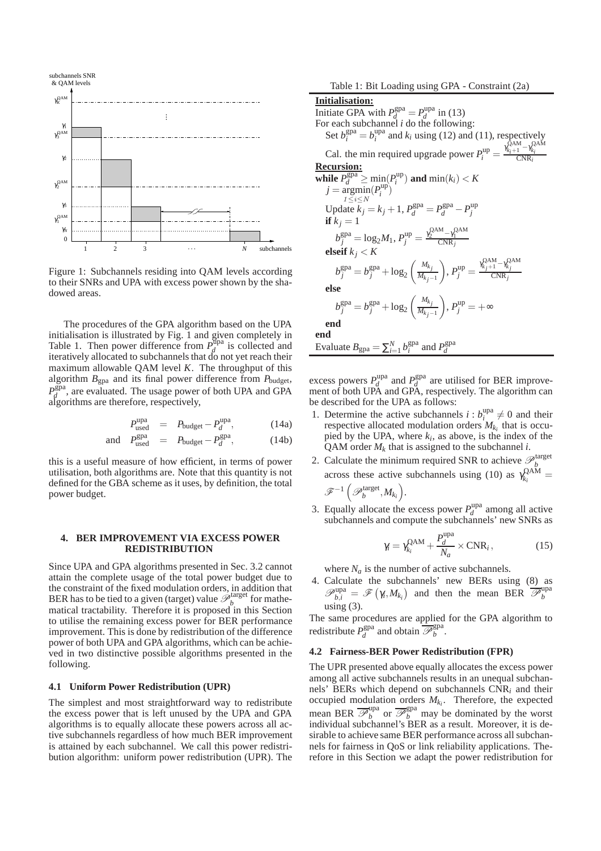

Figure 1: Subchannels residing into QAM levels according to their SNRs and UPA with excess power shown by the shadowed areas.

The procedures of the GPA algorithm based on the UPA initialisation is illustrated by Fig. 1 and given completely in Table 1. Then power difference from  $P_d^{\text{Upa}}$  $d \text{ is collected}$  and iteratively allocated to subchannels that do not yet reach their maximum allowable QAM level *K*. The throughput of this algorithm  $B_{\text{gpa}}$  and its final power difference from  $P_{\text{budget}}$ ,  $P_d^{\text{gpa}}$  $d_d^{\text{gpa}}$ , are evaluated. The usage power of both UPA and GPA algorithms are therefore, respectively,

$$
P_{used}^{upa} = P_{budget} - P_d^{upa}, \t(14a)
$$

$$
\text{and} \quad P_{\text{used}}^{\text{gpa}} = P_{\text{budget}} - P_d^{\text{gpa}}, \tag{14b}
$$

this is a useful measure of how efficient, in terms of power utilisation, both algorithms are. Note that this quantity is not defined for the GBA scheme as it uses, by definition, the total power budget.

and *P*

#### **4. BER IMPROVEMENT VIA EXCESS POWER REDISTRIBUTION**

Since UPA and GPA algorithms presented in Sec. 3.2 cannot attain the complete usage of the total power budget due to the constraint of the fixed modulation orders, in addition that BER has to be tied to a given (target) value  $\mathscr{P}_b^{\text{target}}$  for mathematical tractability. Therefore it is proposed in this Section to utilise the remaining excess power for BER performance improvement. This is done by redistribution of the difference power of both UPA and GPA algorithms, which can be achieved in two distinctive possible algorithms presented in the following.

## **4.1 Uniform Power Redistribution (UPR)**

The simplest and most straightforward way to redistribute the excess power that is left unused by the UPA and GPA algorithms is to equally allocate these powers across all active subchannels regardless of how much BER improvement is attained by each subchannel. We call this power redistribution algorithm: uniform power redistribution (UPR). The Table 1: Bit Loading using GPA - Constraint (2a)

**Initialisation:** Initiate GPA with  $P_d^{\text{gpa}} = P_d^{\text{upa}}$  $\int_{d}^{\text{upa}}$  in (13) For each subchannel *i* do the following: Set  $b_i^{\text{gpa}} = b_i^{\text{upa}}$  $i_i^{\text{upa}}$  and  $k_i$  using (12) and (11), respectively Cal. the min required upgrade power  $P_i^{\text{up}} = \frac{\gamma_{k_i+1}^{\text{QAM}} - \gamma_{k_i}^{\text{QAM}}}{\text{CNR}_i}$ **Recursion: while**  $P_d^{\text{gpa}} \ge \min_{i} (P_i^{\text{up}})$  and  $\min(k_i) < K$  $j = \operatorname*{argmin}^u(P_i^{\text{up}})$  $1\leq i\leq N$ *i* )  $U$ pdate  $\vec{k}_j = k_j + 1$ ,  $P_d^{\text{gpa}} = P_d^{\text{gpa}} - P_j^{\text{up}}$ **if**  $k_j = 1$  $b_j^{\text{gpa}} = \log_2 M_1, P_j^{\text{up}} = \frac{\gamma_2^{\text{QAM}} - \gamma_1^{\text{QAM}}}{\text{CNR}_j}$ **elseif**  $k_j < K$  $b_j^{\text{gpa}} = b_j^{\text{gpa}} + \log_2\left(\frac{M_{k_j}}{M_{k_j}}\right)$  $M_{k_j-1}$  $\sum_{j}$ ,  $P_j^{\text{up}} = \frac{\gamma_{k_j+1}^{\text{QAM}} - \gamma_{k_j}^{\text{QAM}}}{\text{CNR}_j}$ CNR*j* **else**  $b_j^{\text{gpa}} = b_j^{\text{gpa}} + \log_2\left(\frac{M_{k_j}}{M_{k_j}}\right)$  $M_{kj-1}$  $\bigg), P_j^{\text{up}} = +\infty$ **end end** Evaluate  $B_{\text{gpa}} = \sum_{i=1}^{N} b_i^{\text{gpa}}$  and  $P_d^{\text{gpa}}$ *d*

excess powers  $P_d^{\text{upa}}$  $P_d^{\text{upa}}$  and  $P_d^{\text{gpa}}$  $d \text{ are utilized for BER improve-}$ ment of both UPA and GPA, respectively. The algorithm can be described for the UPA as follows:

- 1. Determine the active subchannels  $i : b_i^{\text{upa}}$  $i \neq 0$  and their respective allocated modulation orders  $M_{k_i}$  that is occupied by the UPA, where  $k_i$ , as above, is the index of the QAM order  $M_k$  that is assigned to the subchannel *i*.
- 2. Calculate the minimum required SNR to achieve  $\mathcal{P}_b^{\text{target}}$ across these active subchannels using (10) as  $\gamma_k^{\text{QAM}}$  $\frac{R}{k_i}$ <sup> $k_i$ </sup>  $\mathscr{F}^{-1}\left( \mathscr{P}_{b}^{\text{target}}, M_{k_i} \right)$ .
- 3. Equally allocate the excess power  $P_d^{\text{upa}}$  $d_d^{\text{upa}}$  among all active subchannels and compute the subchannels' new SNRs as

$$
\gamma_i = \gamma_{k_i}^{\text{QAM}} + \frac{P_d^{\text{upa}}}{N_a} \times \text{CNR}_i, \qquad (15)
$$

where  $N_a$  is the number of active subchannels.

4. Calculate the subchannels' new BERs using (8) as  $\mathscr{P}_{b,i}^{\text{upa}} = \mathscr{F}(\gamma_i, M_{k_i})$  and then the mean BER  $\overline{\mathscr{P}}_b^{\text{upa}}$ *b* using  $(3)$ .

The same procedures are applied for the GPA algorithm to redistribute  $P_d^{\text{gpa}}$  $\frac{d}{d}$  and obtain  $\overline{\mathcal{P}}_b^{\text{gpa}}$ *b* .

#### **4.2 Fairness-BER Power Redistribution (FPR)**

The UPR presented above equally allocates the excess power among all active subchannels results in an unequal subchannels' BERs which depend on subchannels CNR*<sup>i</sup>* and their occupied modulation orders *Mk<sup>i</sup>* . Therefore, the expected mean BER  $\overline{\mathcal{P}_b^{\text{upa}}}$  or  $\overline{\mathcal{P}_b^{\text{spa}}}$  may be dominated by the worst individual subchannel's BER as a result. Moreover, it is desirable to achieve same BER performance across all subchannels for fairness in QoS or link reliability applications. Therefore in this Section we adapt the power redistribution for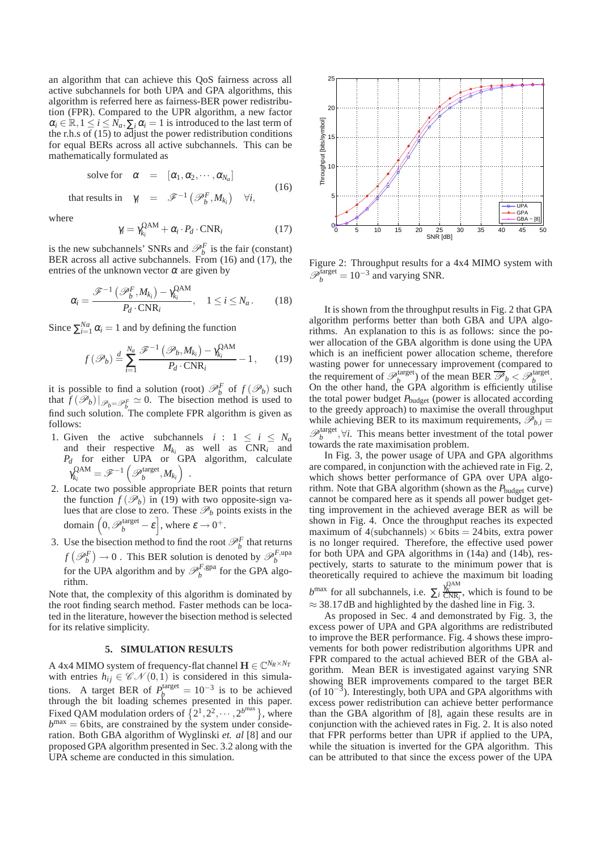an algorithm that can achieve this QoS fairness across all active subchannels for both UPA and GPA algorithms, this algorithm is referred here as fairness-BER power redistribution (FPR). Compared to the UPR algorithm, a new factor  $\alpha_i \in \mathbb{R}, 1 \leq i \leq N_a, \sum_i \alpha_i = 1$  is introduced to the last term of the r.h.s of (15) to adjust the power redistribution conditions for equal BERs across all active subchannels. This can be mathematically formulated as

solve for 
$$
\alpha = [\alpha_1, \alpha_2, \cdots, \alpha_{N_a}]
$$
 (16)

that results in  $\gamma_i = \mathscr{F}^{-1}(\mathscr{P}_b^F, M_{k_i}) \quad \forall i,$ 

where

$$
\gamma_i = \gamma_{k_i}^{\text{QAM}} + \alpha_i \cdot P_d \cdot \text{CNR}_i \tag{17}
$$

is the new subchannels' SNRs and  $\mathcal{P}_b^F$  is the fair (constant) BER across all active subchannels. From (16) and (17), the entries of the unknown vector  $\alpha$  are given by

$$
\alpha_i = \frac{\mathscr{F}^{-1}\left(\mathscr{P}_b^F, M_{k_i}\right) - \gamma_{k_i}^{\text{QAM}}}{P_d \cdot \text{CNR}_i}, \quad 1 \le i \le N_a. \tag{18}
$$

Since  $\sum_{i=1}^{Na} \alpha_i = 1$  and by defining the function

$$
f(\mathscr{P}_b) \stackrel{d}{=} \sum_{i=1}^{N_a} \frac{\mathscr{F}^{-1}\left(\mathscr{P}_b, M_{k_i}\right) - \gamma_{k_i}^{\text{QAM}}}{P_d \cdot \text{CNR}_i} - 1, \qquad (19)
$$

it is possible to find a solution (root)  $\mathcal{P}_b^F$  of  $f(\mathcal{P}_b)$  such that  $\hat{f}(\mathscr{P}_b)|_{\mathscr{P}_b=\mathscr{P}_b^F} \simeq 0$ . The bisection method is used to find such solution. The complete FPR algorithm is given as follows:

- 1. Given the active subchannels  $i : 1 \le i \le N_a$ and their respective  $M_{k_i}$  as well as  $CNR_i$  and *P<sup>d</sup>* for either UPA or GPA algorithm, calculate  $\gamma_{k_i}^{\text{QAM}}$  $\mathscr{F}^{\mathrm{AM}}_{k_i} = \mathscr{F}^{-1}\left(\mathscr{P}^{\mathrm{target}}_b, M_{k_i}\right) \;.$
- 2. Locate two possible appropriate BER points that return the function  $f(\mathcal{P}_b)$  in (19) with two opposite-sign values that are close to zero. These  $\mathcal{P}_b$  points exists in the domain  $\left(0, \mathscr{P}_{b}^{\text{target}} - \varepsilon\right]$ , where  $\varepsilon \to 0^+.$
- 3. Use the bisection method to find the root  $\mathcal{P}_b^F$  that returns  $f(\mathcal{P}_b^F) \to 0$ . This BER solution is denoted by  $\mathcal{P}_b^{F, \text{upa}}$  for the UPA algo-<br>for the UPA algorithm and by  $\mathcal{P}_b^{F, \text{gpa}}$  for the GPA algorithm.

Note that, the complexity of this algorithm is dominated by the root finding search method. Faster methods can be located in the literature, however the bisection method is selected for its relative simplicity.

#### **5. SIMULATION RESULTS**

A 4x4 MIMO system of frequency-flat channel  $\mathbf{H} \in \mathbb{C}^{N_R \times N_T}$ with entries  $h_{ij} \in \mathcal{CN}(0,1)$  is considered in this simulations. A target BER of  $P_b^{\text{target}} = 10^{-3}$  is to be achieved through the bit loading schemes presented in this paper. Fixed QAM modulation orders of  $\{2^1, 2^2, \dots, 2^{b^{\text{max}}}\}\$ , where  $b^{\text{max}} = 6$  bits, are constrained by the system under consideration. Both GBA algorithm of Wyglinski *et. al* [8] and our proposed GPA algorithm presented in Sec. 3.2 along with the UPA scheme are conducted in this simulation.



Figure 2: Throughput results for a 4x4 MIMO system with  $\mathscr{P}_{b}^{\text{target}} = 10^{-3}$  and varying SNR.

It is shown from the throughput results in Fig. 2 that GPA algorithm performs better than both GBA and UPA algorithms. An explanation to this is as follows: since the power allocation of the GBA algorithm is done using the UPA which is an inefficient power allocation scheme, therefore wasting power for unnecessary improvement (compared to the requirement of  $\mathcal{P}_b^{\text{target}}$  of the mean BER  $\overline{\mathcal{P}}_b < \mathcal{P}_b^{\text{target}}$ . On the other hand, the GPA algorithm is efficiently utilise the total power budget *P*budget (power is allocated according to the greedy approach) to maximise the overall throughput while achieving BER to its maximum requirements,  $\mathscr{P}_{b,i} =$  $\mathscr{P}_{b}^{\text{target}}$ , $\forall i$ . This means better investment of the total power towards the rate maximisation problem.

In Fig. 3, the power usage of UPA and GPA algorithms are compared, in conjunction with the achieved rate in Fig. 2, which shows better performance of GPA over UPA algorithm. Note that GBA algorithm (shown as the *P*<sub>budget</sub> curve) cannot be compared here as it spends all power budget getting improvement in the achieved average BER as will be shown in Fig. 4. Once the throughput reaches its expected maximum of  $4$ (subchannels)  $\times$  6 bits = 24 bits, extra power is no longer required. Therefore, the effective used power for both UPA and GPA algorithms in (14a) and (14b), respectively, starts to saturate to the minimum power that is theoretically required to achieve the maximum bit loading  $b^{\text{max}}$  for all subchannels, i.e.  $\sum_{i} \frac{\gamma_K^{\text{QAM}}}{\text{CNR}_i}$ , which is found to be

 $\approx$  38.17dB and highlighted by the dashed line in Fig. 3.

As proposed in Sec. 4 and demonstrated by Fig. 3, the excess power of UPA and GPA algorithms are redistributed to improve the BER performance. Fig. 4 shows these improvements for both power redistribution algorithms UPR and FPR compared to the actual achieved BER of the GBA algorithm. Mean BER is investigated against varying SNR showing BER improvements compared to the target BER (of 10−<sup>3</sup> ). Interestingly, both UPA and GPA algorithms with excess power redistribution can achieve better performance than the GBA algorithm of [8], again these results are in conjunction with the achieved rates in Fig. 2. It is also noted that FPR performs better than UPR if applied to the UPA, while the situation is inverted for the GPA algorithm. This can be attributed to that since the excess power of the UPA